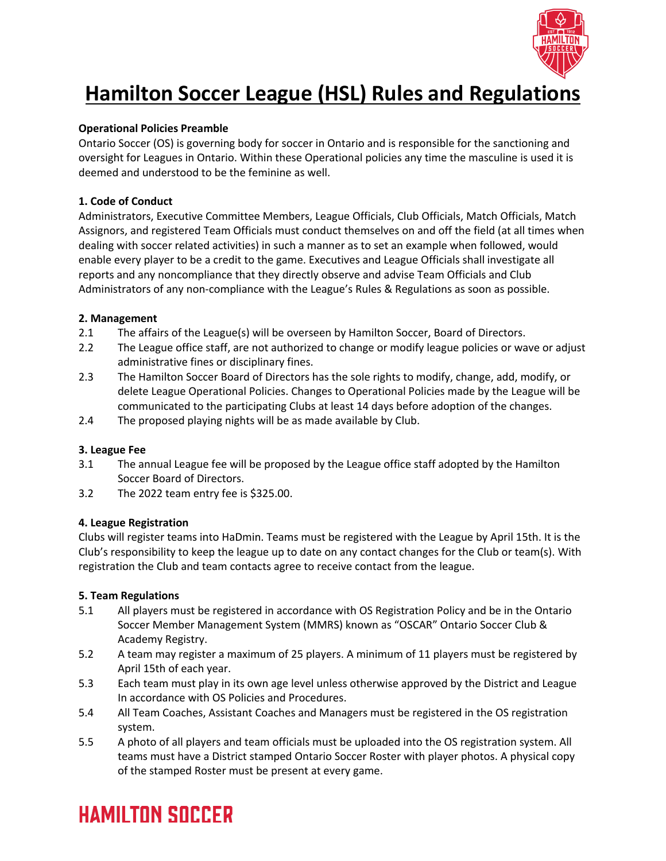

# **Hamilton Soccer League (HSL) Rules and Regulations**

### **Operational Policies Preamble**

Ontario Soccer (OS) is governing body for soccer in Ontario and is responsible for the sanctioning and oversight for Leagues in Ontario. Within these Operational policies any time the masculine is used it is deemed and understood to be the feminine as well.

### **1. Code of Conduct**

Administrators, Executive Committee Members, League Officials, Club Officials, Match Officials, Match Assignors, and registered Team Officials must conduct themselves on and off the field (at all times when dealing with soccer related activities) in such a manner as to set an example when followed, would enable every player to be a credit to the game. Executives and League Officials shall investigate all reports and any noncompliance that they directly observe and advise Team Officials and Club Administrators of any non-compliance with the League's Rules & Regulations as soon as possible.

### **2. Management**

- 2.1 The affairs of the League(s) will be overseen by Hamilton Soccer, Board of Directors.
- 2.2 The League office staff, are not authorized to change or modify league policies or wave or adjust administrative fines or disciplinary fines.
- 2.3 The Hamilton Soccer Board of Directors has the sole rights to modify, change, add, modify, or delete League Operational Policies. Changes to Operational Policies made by the League will be communicated to the participating Clubs at least 14 days before adoption of the changes.
- 2.4 The proposed playing nights will be as made available by Club.

## **3. League Fee**

- 3.1 The annual League fee will be proposed by the League office staff adopted by the Hamilton Soccer Board of Directors.
- 3.2 The 2022 team entry fee is \$325.00.

### **4. League Registration**

Clubs will register teams into HaDmin. Teams must be registered with the League by April 15th. It is the Club's responsibility to keep the league up to date on any contact changes for the Club or team(s). With registration the Club and team contacts agree to receive contact from the league.

### **5. Team Regulations**

- 5.1 All players must be registered in accordance with OS Registration Policy and be in the Ontario Soccer Member Management System (MMRS) known as "OSCAR" Ontario Soccer Club & Academy Registry.
- 5.2 A team may register a maximum of 25 players. A minimum of 11 players must be registered by April 15th of each year.
- 5.3 Each team must play in its own age level unless otherwise approved by the District and League In accordance with OS Policies and Procedures.
- 5.4 All Team Coaches, Assistant Coaches and Managers must be registered in the OS registration system.
- 5.5 A photo of all players and team officials must be uploaded into the OS registration system. All teams must have a District stamped Ontario Soccer Roster with player photos. A physical copy of the stamped Roster must be present at every game.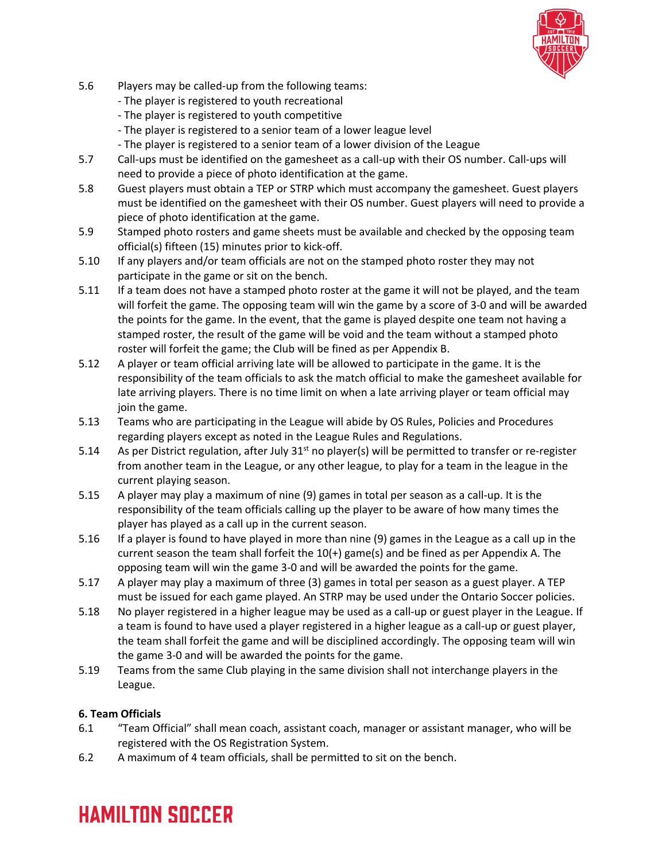

- 5.6 Players may be called-up from the following teams:
	- The player is registered to youth recreational
	- The player is registered to youth competitive
	- The player is registered to a senior team of a lower league level
	- The player is registered to a senior team of a lower division of the League
- 5.7 Call-ups must be identified on the gamesheet as a call-up with their OS number. Call-ups will need to provide a piece of photo identification at the game.
- 5.8 Guest players must obtain a TEP or STRP which must accompany the gamesheet. Guest players must be identified on the gamesheet with their OS number. Guest players will need to provide a piece of photo identification at the game.
- 5.9 Stamped photo rosters and game sheets must be available and checked by the opposing team official(s) fifteen (15) minutes prior to kick-off.
- 5.10 If any players and/or team officials are not on the stamped photo roster they may not participate in the game or sit on the bench.
- 5.11 If a team does not have a stamped photo roster at the game it will not be played, and the team will forfeit the game. The opposing team will win the game by a score of 3-0 and will be awarded the points for the game. In the event, that the game is played despite one team not having a stamped roster, the result of the game will be void and the team without a stamped photo roster will forfeit the game; the Club will be fined as per Appendix B.
- 5.12 A player or team official arriving late will be allowed to participate in the game. It is the responsibility of the team officials to ask the match official to make the gamesheet available for late arriving players. There is no time limit on when a late arriving player or team official may join the game.
- 5.13 Teams who are participating in the League will abide by OS Rules, Policies and Procedures regarding players except as noted in the League Rules and Regulations.
- 5.14 As per District regulation, after July  $31^{st}$  no player(s) will be permitted to transfer or re-register from another team in the League, or any other league, to play for a team in the league in the current playing season.
- 5.15 A player may play a maximum of nine (9) games in total per season as a call-up. It is the responsibility of the team officials calling up the player to be aware of how many times the player has played as a call up in the current season.
- 5.16 If a player is found to have played in more than nine (9) games in the League as a call up in the current season the team shall forfeit the 10(+) game(s) and be fined as per Appendix A. The opposing team will win the game 3-0 and will be awarded the points for the game.
- 5.17 A player may play a maximum of three (3) games in total per season as a guest player. A TEP must be issued for each game played. An STRP may be used under the Ontario Soccer policies.
- 5.18 No player registered in a higher league may be used as a call-up or guest player in the League. If a team is found to have used a player registered in a higher league as a call-up or guest player, the team shall forfeit the game and will be disciplined accordingly. The opposing team will win the game 3-0 and will be awarded the points for the game.
- 5.19 Teams from the same Club playing in the same division shall not interchange players in the League.

## **6. Team Officials**

- 6.1 "Team Official" shall mean coach, assistant coach, manager or assistant manager, who will be registered with the OS Registration System.
- 6.2 A maximum of 4 team officials, shall be permitted to sit on the bench.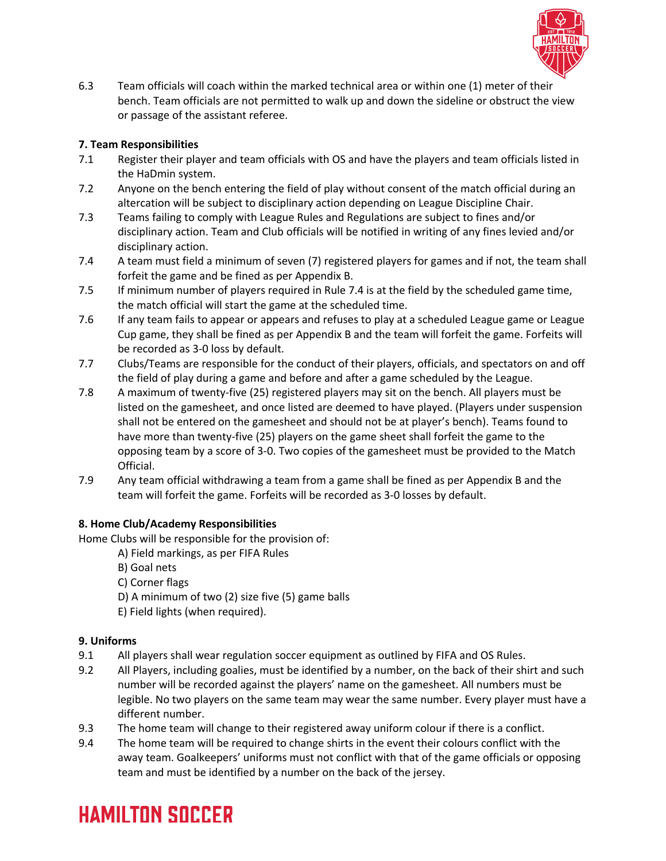

6.3 Team officials will coach within the marked technical area or within one (1) meter of their bench. Team officials are not permitted to walk up and down the sideline or obstruct the view or passage of the assistant referee.

# **7. Team Responsibilities**

- 7.1 Register their player and team officials with OS and have the players and team officials listed in the HaDmin system.
- 7.2 Anyone on the bench entering the field of play without consent of the match official during an altercation will be subject to disciplinary action depending on League Discipline Chair.
- 7.3 Teams failing to comply with League Rules and Regulations are subject to fines and/or disciplinary action. Team and Club officials will be notified in writing of any fines levied and/or disciplinary action.
- 7.4 A team must field a minimum of seven (7) registered players for games and if not, the team shall forfeit the game and be fined as per Appendix B.
- 7.5 If minimum number of players required in Rule 7.4 is at the field by the scheduled game time, the match official will start the game at the scheduled time.
- 7.6 If any team fails to appear or appears and refuses to play at a scheduled League game or League Cup game, they shall be fined as per Appendix B and the team will forfeit the game. Forfeits will be recorded as 3-0 loss by default.
- 7.7 Clubs/Teams are responsible for the conduct of their players, officials, and spectators on and off the field of play during a game and before and after a game scheduled by the League.
- 7.8 A maximum of twenty-five (25) registered players may sit on the bench. All players must be listed on the gamesheet, and once listed are deemed to have played. (Players under suspension shall not be entered on the gamesheet and should not be at player's bench). Teams found to have more than twenty-five (25) players on the game sheet shall forfeit the game to the opposing team by a score of 3-0. Two copies of the gamesheet must be provided to the Match Official.
- 7.9 Any team official withdrawing a team from a game shall be fined as per Appendix B and the team will forfeit the game. Forfeits will be recorded as 3-0 losses by default.

## **8. Home Club/Academy Responsibilities**

Home Clubs will be responsible for the provision of:

- A) Field markings, as per FIFA Rules
- B) Goal nets
- C) Corner flags
- D) A minimum of two (2) size five (5) game balls
- E) Field lights (when required).

## **9. Uniforms**

- 9.1 All players shall wear regulation soccer equipment as outlined by FIFA and OS Rules.
- 9.2 All Players, including goalies, must be identified by a number, on the back of their shirt and such number will be recorded against the players' name on the gamesheet. All numbers must be legible. No two players on the same team may wear the same number. Every player must have a different number.
- 9.3 The home team will change to their registered away uniform colour if there is a conflict.
- 9.4 The home team will be required to change shirts in the event their colours conflict with the away team. Goalkeepers' uniforms must not conflict with that of the game officials or opposing team and must be identified by a number on the back of the jersey.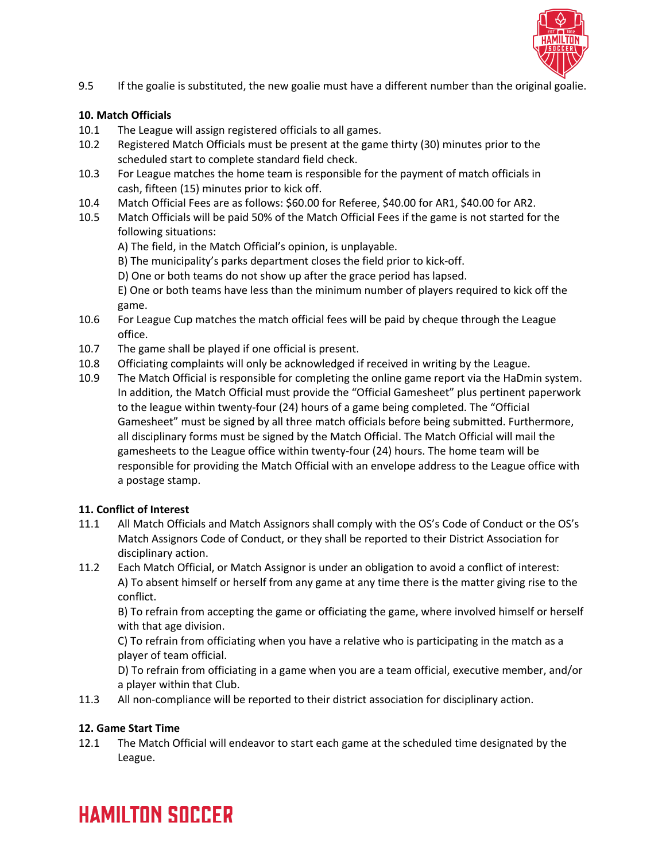

9.5 If the goalie is substituted, the new goalie must have a different number than the original goalie.

## **10. Match Officials**

- 10.1 The League will assign registered officials to all games.
- 10.2 Registered Match Officials must be present at the game thirty (30) minutes prior to the scheduled start to complete standard field check.
- 10.3 For League matches the home team is responsible for the payment of match officials in cash, fifteen (15) minutes prior to kick off.
- 10.4 Match Official Fees are as follows: \$60.00 for Referee, \$40.00 for AR1, \$40.00 for AR2.
- 10.5 Match Officials will be paid 50% of the Match Official Fees if the game is not started for the following situations:
	- A) The field, in the Match Official's opinion, is unplayable.
	- B) The municipality's parks department closes the field prior to kick-off.
	- D) One or both teams do not show up after the grace period has lapsed.

E) One or both teams have less than the minimum number of players required to kick off the game.

- 10.6 For League Cup matches the match official fees will be paid by cheque through the League office.
- 10.7 The game shall be played if one official is present.
- 10.8 Officiating complaints will only be acknowledged if received in writing by the League.
- 10.9 The Match Official is responsible for completing the online game report via the HaDmin system. In addition, the Match Official must provide the "Official Gamesheet" plus pertinent paperwork to the league within twenty-four (24) hours of a game being completed. The "Official Gamesheet" must be signed by all three match officials before being submitted. Furthermore, all disciplinary forms must be signed by the Match Official. The Match Official will mail the gamesheets to the League office within twenty-four (24) hours. The home team will be responsible for providing the Match Official with an envelope address to the League office with a postage stamp.

## **11. Conflict of Interest**

- 11.1 All Match Officials and Match Assignors shall comply with the OS's Code of Conduct or the OS's Match Assignors Code of Conduct, or they shall be reported to their District Association for disciplinary action.
- 11.2 Each Match Official, or Match Assignor is under an obligation to avoid a conflict of interest: A) To absent himself or herself from any game at any time there is the matter giving rise to the conflict.

B) To refrain from accepting the game or officiating the game, where involved himself or herself with that age division.

C) To refrain from officiating when you have a relative who is participating in the match as a player of team official.

D) To refrain from officiating in a game when you are a team official, executive member, and/or a player within that Club.

11.3 All non-compliance will be reported to their district association for disciplinary action.

## **12. Game Start Time**

12.1 The Match Official will endeavor to start each game at the scheduled time designated by the League.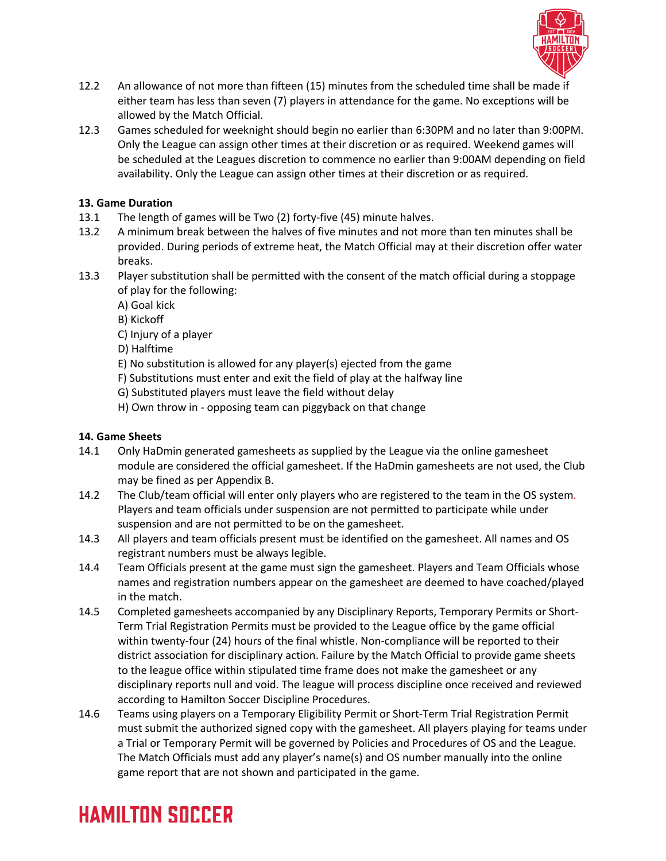

- 12.2 An allowance of not more than fifteen (15) minutes from the scheduled time shall be made if either team has less than seven (7) players in attendance for the game. No exceptions will be allowed by the Match Official.
- 12.3 Games scheduled for weeknight should begin no earlier than 6:30PM and no later than 9:00PM. Only the League can assign other times at their discretion or as required. Weekend games will be scheduled at the Leagues discretion to commence no earlier than 9:00AM depending on field availability. Only the League can assign other times at their discretion or as required.

# **13. Game Duration**

- 13.1 The length of games will be Two (2) forty-five (45) minute halves.
- 13.2 A minimum break between the halves of five minutes and not more than ten minutes shall be provided. During periods of extreme heat, the Match Official may at their discretion offer water breaks.
- 13.3 Player substitution shall be permitted with the consent of the match official during a stoppage of play for the following:
	- A) Goal kick
	- B) Kickoff
	- C) Injury of a player
	- D) Halftime
	- E) No substitution is allowed for any player(s) ejected from the game
	- F) Substitutions must enter and exit the field of play at the halfway line
	- G) Substituted players must leave the field without delay
	- H) Own throw in opposing team can piggyback on that change

# **14. Game Sheets**

- 14.1 Only HaDmin generated gamesheets as supplied by the League via the online gamesheet module are considered the official gamesheet. If the HaDmin gamesheets are not used, the Club may be fined as per Appendix B.
- 14.2 The Club/team official will enter only players who are registered to the team in the OS system. Players and team officials under suspension are not permitted to participate while under suspension and are not permitted to be on the gamesheet.
- 14.3 All players and team officials present must be identified on the gamesheet. All names and OS registrant numbers must be always legible.
- 14.4 Team Officials present at the game must sign the gamesheet. Players and Team Officials whose names and registration numbers appear on the gamesheet are deemed to have coached/played in the match.
- 14.5 Completed gamesheets accompanied by any Disciplinary Reports, Temporary Permits or Short-Term Trial Registration Permits must be provided to the League office by the game official within twenty-four (24) hours of the final whistle. Non-compliance will be reported to their district association for disciplinary action. Failure by the Match Official to provide game sheets to the league office within stipulated time frame does not make the gamesheet or any disciplinary reports null and void. The league will process discipline once received and reviewed according to Hamilton Soccer Discipline Procedures.
- 14.6 Teams using players on a Temporary Eligibility Permit or Short-Term Trial Registration Permit must submit the authorized signed copy with the gamesheet. All players playing for teams under a Trial or Temporary Permit will be governed by Policies and Procedures of OS and the League. The Match Officials must add any player's name(s) and OS number manually into the online game report that are not shown and participated in the game.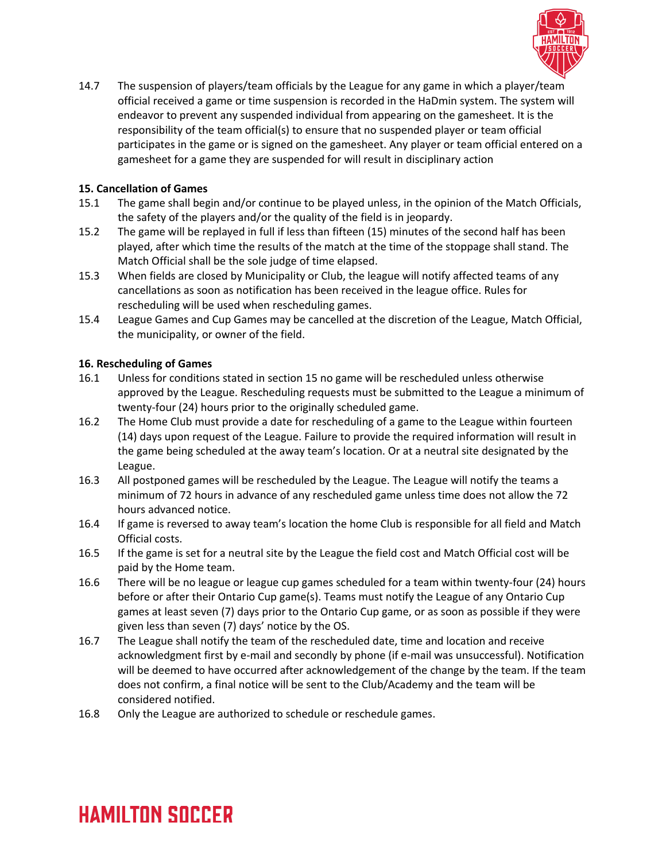

14.7 The suspension of players/team officials by the League for any game in which a player/team official received a game or time suspension is recorded in the HaDmin system. The system will endeavor to prevent any suspended individual from appearing on the gamesheet. It is the responsibility of the team official(s) to ensure that no suspended player or team official participates in the game or is signed on the gamesheet. Any player or team official entered on a gamesheet for a game they are suspended for will result in disciplinary action

### **15. Cancellation of Games**

- 15.1 The game shall begin and/or continue to be played unless, in the opinion of the Match Officials, the safety of the players and/or the quality of the field is in jeopardy.
- 15.2 The game will be replayed in full if less than fifteen (15) minutes of the second half has been played, after which time the results of the match at the time of the stoppage shall stand. The Match Official shall be the sole judge of time elapsed.
- 15.3 When fields are closed by Municipality or Club, the league will notify affected teams of any cancellations as soon as notification has been received in the league office. Rules for rescheduling will be used when rescheduling games.
- 15.4 League Games and Cup Games may be cancelled at the discretion of the League, Match Official, the municipality, or owner of the field.

## **16. Rescheduling of Games**

- 16.1 Unless for conditions stated in section 15 no game will be rescheduled unless otherwise approved by the League. Rescheduling requests must be submitted to the League a minimum of twenty-four (24) hours prior to the originally scheduled game.
- 16.2 The Home Club must provide a date for rescheduling of a game to the League within fourteen (14) days upon request of the League. Failure to provide the required information will result in the game being scheduled at the away team's location. Or at a neutral site designated by the League.
- 16.3 All postponed games will be rescheduled by the League. The League will notify the teams a minimum of 72 hours in advance of any rescheduled game unless time does not allow the 72 hours advanced notice.
- 16.4 If game is reversed to away team's location the home Club is responsible for all field and Match Official costs.
- 16.5 If the game is set for a neutral site by the League the field cost and Match Official cost will be paid by the Home team.
- 16.6 There will be no league or league cup games scheduled for a team within twenty-four (24) hours before or after their Ontario Cup game(s). Teams must notify the League of any Ontario Cup games at least seven (7) days prior to the Ontario Cup game, or as soon as possible if they were given less than seven (7) days' notice by the OS.
- 16.7 The League shall notify the team of the rescheduled date, time and location and receive acknowledgment first by e-mail and secondly by phone (if e-mail was unsuccessful). Notification will be deemed to have occurred after acknowledgement of the change by the team. If the team does not confirm, a final notice will be sent to the Club/Academy and the team will be considered notified.
- 16.8 Only the League are authorized to schedule or reschedule games.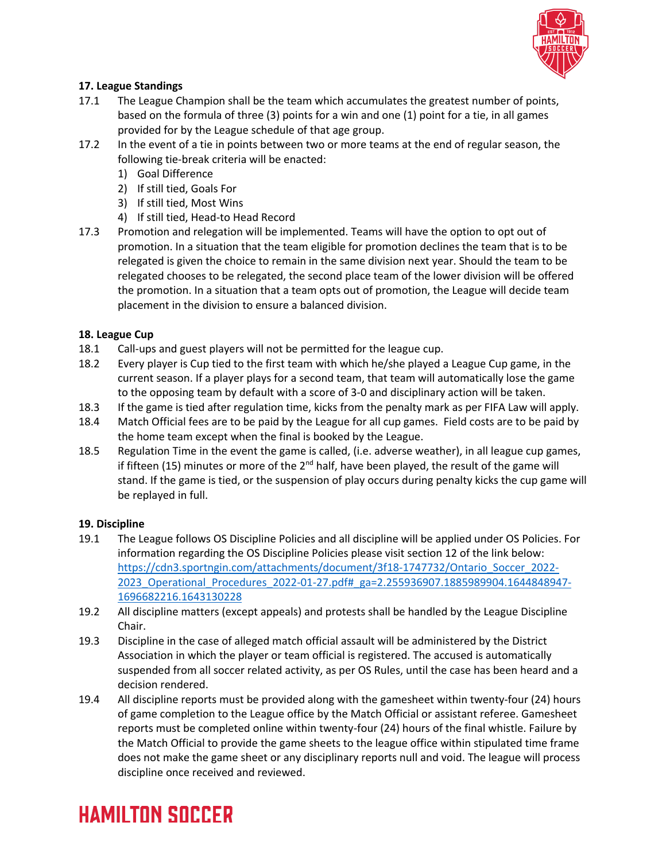

# **17. League Standings**

- 17.1 The League Champion shall be the team which accumulates the greatest number of points, based on the formula of three (3) points for a win and one (1) point for a tie, in all games provided for by the League schedule of that age group.
- 17.2 In the event of a tie in points between two or more teams at the end of regular season, the following tie-break criteria will be enacted:
	- 1) Goal Difference
	- 2) If still tied, Goals For
	- 3) If still tied, Most Wins
	- 4) If still tied, Head-to Head Record
- 17.3 Promotion and relegation will be implemented. Teams will have the option to opt out of promotion. In a situation that the team eligible for promotion declines the team that is to be relegated is given the choice to remain in the same division next year. Should the team to be relegated chooses to be relegated, the second place team of the lower division will be offered the promotion. In a situation that a team opts out of promotion, the League will decide team placement in the division to ensure a balanced division.

## **18. League Cup**

- 18.1 Call-ups and guest players will not be permitted for the league cup.
- 18.2 Every player is Cup tied to the first team with which he/she played a League Cup game, in the current season. If a player plays for a second team, that team will automatically lose the game to the opposing team by default with a score of 3-0 and disciplinary action will be taken.
- 18.3 If the game is tied after regulation time, kicks from the penalty mark as per FIFA Law will apply.
- 18.4 Match Official fees are to be paid by the League for all cup games. Field costs are to be paid by the home team except when the final is booked by the League.
- 18.5 Regulation Time in the event the game is called, (i.e. adverse weather), in all league cup games, if fifteen (15) minutes or more of the  $2<sup>nd</sup>$  half, have been played, the result of the game will stand. If the game is tied, or the suspension of play occurs during penalty kicks the cup game will be replayed in full.

## **19. Discipline**

- 19.1 The League follows OS Discipline Policies and all discipline will be applied under OS Policies. For information regarding the OS Discipline Policies please visit section 12 of the link below: https://cdn3.sportngin.com/attachments/document/3f18-1747732/Ontario Soccer 2022-2023\_Operational\_Procedures\_2022-01-27.pdf#\_ga=2.255936907.1885989904.1644848947- 1696682216.1643130228
- 19.2 All discipline matters (except appeals) and protests shall be handled by the League Discipline Chair.
- 19.3 Discipline in the case of alleged match official assault will be administered by the District Association in which the player or team official is registered. The accused is automatically suspended from all soccer related activity, as per OS Rules, until the case has been heard and a decision rendered.
- 19.4 All discipline reports must be provided along with the gamesheet within twenty-four (24) hours of game completion to the League office by the Match Official or assistant referee. Gamesheet reports must be completed online within twenty-four (24) hours of the final whistle. Failure by the Match Official to provide the game sheets to the league office within stipulated time frame does not make the game sheet or any disciplinary reports null and void. The league will process discipline once received and reviewed.